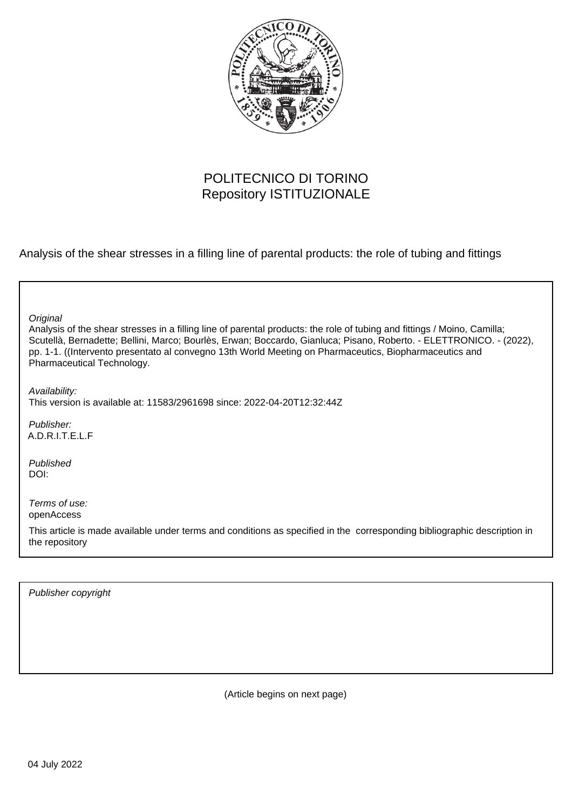

#### POLITECNICO DI TORINO Repository ISTITUZIONALE

Analysis of the shear stresses in a filling line of parental products: the role of tubing and fittings

| Original<br>Analysis of the shear stresses in a filling line of parental products: the role of tubing and fittings / Moino, Camilla;<br>Scutellà, Bernadette; Bellini, Marco; Bourlès, Erwan; Boccardo, Gianluca; Pisano, Roberto. - ELETTRONICO. - (2022),<br>pp. 1-1. ((Intervento presentato al convegno 13th World Meeting on Pharmaceutics, Biopharmaceutics and<br>Pharmaceutical Technology. |
|-----------------------------------------------------------------------------------------------------------------------------------------------------------------------------------------------------------------------------------------------------------------------------------------------------------------------------------------------------------------------------------------------------|
| Availability:<br>This version is available at: 11583/2961698 since: 2022-04-20T12:32:44Z                                                                                                                                                                                                                                                                                                            |
| Publisher:<br>A.D.R.I.T.E.L.F                                                                                                                                                                                                                                                                                                                                                                       |
| Published<br>DOI:                                                                                                                                                                                                                                                                                                                                                                                   |
| Terms of use:<br>openAccess                                                                                                                                                                                                                                                                                                                                                                         |
| This article is made available under terms and conditions as specified in the corresponding bibliographic description in<br>the repository                                                                                                                                                                                                                                                          |

Publisher copyright

(Article begins on next page)